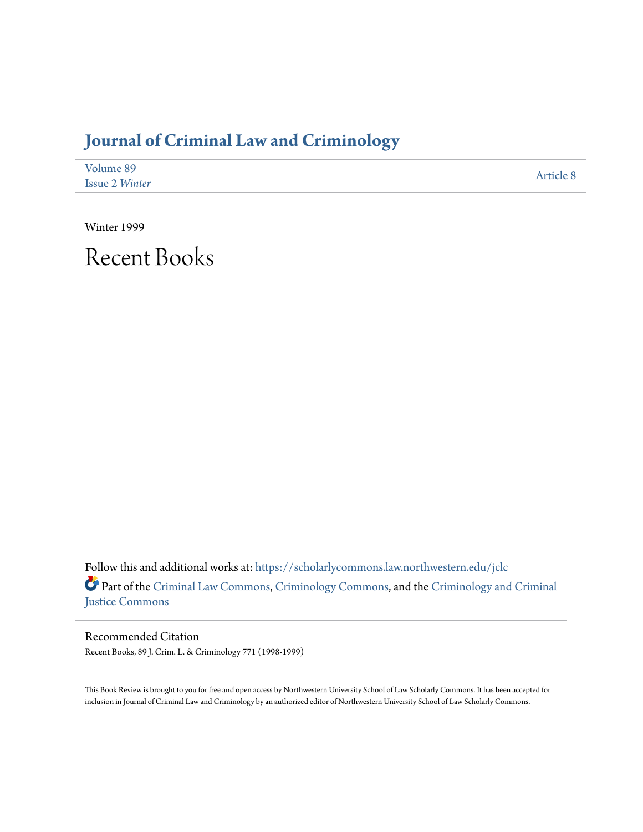## **[Journal of Criminal Law and Criminology](https://scholarlycommons.law.northwestern.edu/jclc?utm_source=scholarlycommons.law.northwestern.edu%2Fjclc%2Fvol89%2Fiss2%2F8&utm_medium=PDF&utm_campaign=PDFCoverPages)**

| Volume 89             | Article 8 |
|-----------------------|-----------|
| <b>Issue 2 Winter</b> |           |

Winter 1999

Recent Books

Follow this and additional works at: [https://scholarlycommons.law.northwestern.edu/jclc](https://scholarlycommons.law.northwestern.edu/jclc?utm_source=scholarlycommons.law.northwestern.edu%2Fjclc%2Fvol89%2Fiss2%2F8&utm_medium=PDF&utm_campaign=PDFCoverPages) Part of the [Criminal Law Commons](http://network.bepress.com/hgg/discipline/912?utm_source=scholarlycommons.law.northwestern.edu%2Fjclc%2Fvol89%2Fiss2%2F8&utm_medium=PDF&utm_campaign=PDFCoverPages), [Criminology Commons](http://network.bepress.com/hgg/discipline/417?utm_source=scholarlycommons.law.northwestern.edu%2Fjclc%2Fvol89%2Fiss2%2F8&utm_medium=PDF&utm_campaign=PDFCoverPages), and the [Criminology and Criminal](http://network.bepress.com/hgg/discipline/367?utm_source=scholarlycommons.law.northwestern.edu%2Fjclc%2Fvol89%2Fiss2%2F8&utm_medium=PDF&utm_campaign=PDFCoverPages) [Justice Commons](http://network.bepress.com/hgg/discipline/367?utm_source=scholarlycommons.law.northwestern.edu%2Fjclc%2Fvol89%2Fiss2%2F8&utm_medium=PDF&utm_campaign=PDFCoverPages)

Recommended Citation Recent Books, 89 J. Crim. L. & Criminology 771 (1998-1999)

This Book Review is brought to you for free and open access by Northwestern University School of Law Scholarly Commons. It has been accepted for inclusion in Journal of Criminal Law and Criminology by an authorized editor of Northwestern University School of Law Scholarly Commons.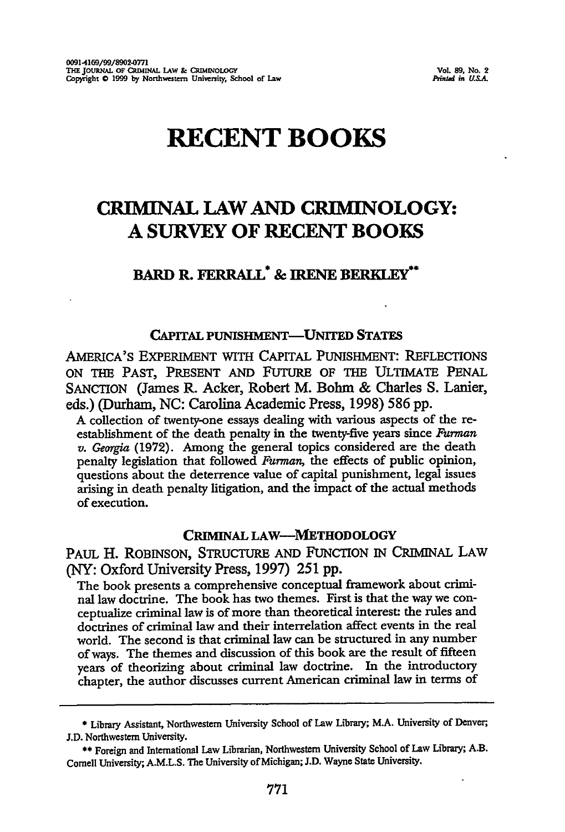# **RECENT BOOKS**

### **CRIMINAL LAW AND CRIMINOLOGY: A SURVEY OF RECENT BOOKS**

### **BARD R. FERRALL\* & IRENE BERKLEY\***

#### **CAPITAL PUNISHMENT-UNITED STATES**

AMERICA'S EXPERIMENT WITH CAPITAL PUNISHMENT: **REFLECTIONS** ON THE PAST, PRESENT AND FUTURE OF THE ULTIMATE PENAL **SANCTION** (James R. Acker, Robert M. Bohm **&** Charles **S.** Lanier, eds.) (Durham, **NC:** Carolina Academic Press, **1998) 586 pp.**

A collection of twenty-one essays dealing with various aspects of the reestablishment of the death penalty in the twenty-five years since *Furman v. Georgia* (1972). Among the general topics considered are the death penalty legislation that followed *Furman,* the effects of public opinion, questions about the deterrence value of capital punishment, legal issues arising in death penalty litigation, and the impact of the actual methods of execution.

#### **CRIMINAL LAW-MIETHODOLOGY**

PAUL H. ROBINSON, STRUCTURE AND FUNCTION IN CRIMINAL LAW (NY: Oxford University Press, 1997) 251 pp.

The book presents a comprehensive conceptual framework about criminal law doctrine. The book has two themes. First is that the way we conceptualize criminal law is of more than theoretical interest: the rules and doctrines of criminal law and their interrelation affect events in the real world. The second is that criminal law can be structured in any number of ways. The themes and discussion of this book are the result of fifteen years of theorizing about criminal law doctrine. In the introductory chapter, the author discusses current American criminal law in terms of

<sup>\*</sup> Library Assistant, Northwestern University School of Law Library; M.A. University of Denver, **J.D.** Northwestern University.

**<sup>\*\*</sup>** Foreign and International Law Librarian, Northwestern University School of Law Library; **A.B.** Cornell University; **A.M.L.S.** The University of Michigan; **J.D.** Wayne State University.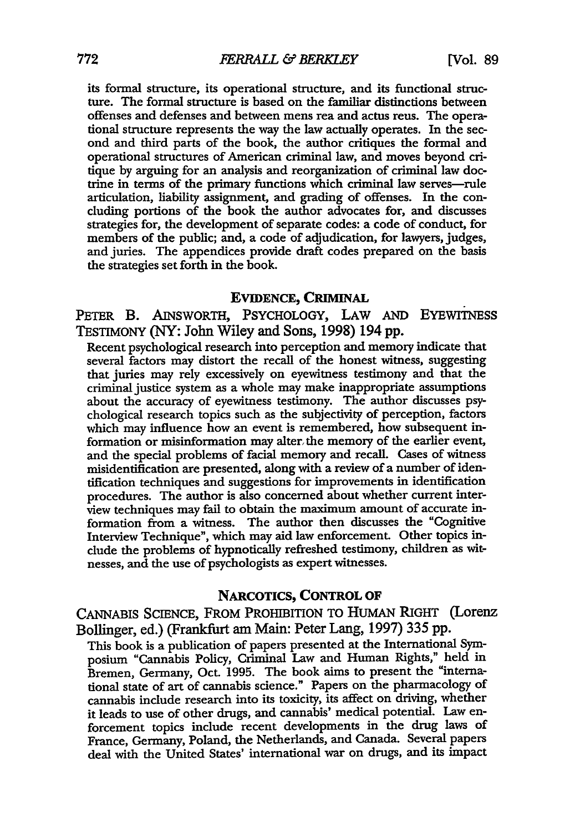its formal structure, its operational structure, and its functional structure. The formal structure is based on the familiar distinctions between offenses and defenses and between mens rea and actus reus. The operational structure represents the way the law actually operates. In the second and third parts of the book, the author critiques the formal and operational structures of American criminal law, and moves beyond critique by arguing for an analysis and reorganization of criminal law doctrine in terms of the primary functions which criminal law serves-rule articulation, liability assignment, and grading of offenses. In the concluding portions of the book the author advocates for, and discusses strategies for, the development of separate codes: a code of conduct, for members of the public; and, a code of adjudication, for lawyers, judges, and juries. The appendices provide draft codes prepared on the basis the strategies set forth in the book.

#### EVIDENCE, **CRIMINAL**

PETER B. AINSWORTH, PSYCHOLOGY, LAW AND EYEWINESS TESTMONY (NY: John Wiley and Sons, **1998)** 194 **pp.**

Recent psychological research into perception and memory indicate that several factors may distort the recall of the honest witness, suggesting that juries may rely excessively on eyewitness testimony and that the criminal justice system as a whole may make inappropriate assumptions about the accuracy of eyewitness testimony. The author discusses psychological research topics such as the subjectivity of perception, factors which may influence how an event is remembered, how subsequent information or misinformation may alter. the memory of the earlier event, and the special problems of facial memory and recall. Gases of witness misidentification are presented, along with a review of a number of identification techniques and suggestions for improvements in identification procedures. The author is also concerned about whether current interview techniques may fail to obtain the maximum amount of accurate information from a witness. The author then discusses the "Cognitive Interview Technique", which may aid law enforcement. Other topics indude the problems of hypnotically refreshed testimony, children as witnesses, and the use of psychologists as expert witnesses.

#### **NARCOTICS,** CONTROL OF

CANNABIS SCIENCE, FROM PROHIBITION TO HUMAN RIGHT (Lorenz Bollinger, ed.) (Frankfurt am Main: Peter Lang, 1997) 335 pp.

This book is a publication of papers presented at the International Symposium "Cannabis Policy, Criminal Law and Human Rights," held in Bremen, Germany, Oct. 1995. The book alms to present the "international state of art of cannabis science." Papers on the pharmacology of cannabis include research into its toxicity, its affect on driving, whether it leads to use of other drugs, and cannabis' medical potential. Law enforcement topics include recent developments in the drug laws of France, Germany, Poland, the Netherlands, and Canada. Several papers deal with the United States' international war on drugs, and its impact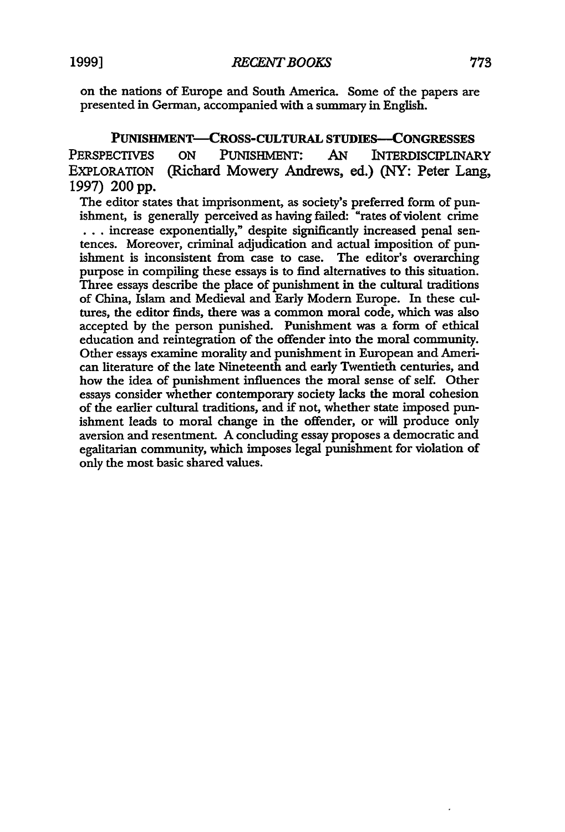on the nations of Europe and South America. Some of the papers are presented in German, accompanied with a summary in English.

**PUNISHMENT-CROSS-CULTURAL STUDIES-CONGRESSES** PERSPECTIVES ON PUNISHMENT: AN INTERDISCIPLINARY EXPLORATION (Richard Mowery Andrews, ed.) (NY: Peter Lang, 1997) 200 pp.

The editor states that imprisonment, as society's preferred form of punishment, is generally perceived as having failed: "rates of violent crime **• . .** increase exponentially," despite significantly increased penal sentences. Moreover, criminal adjudication and actual imposition of punishment is inconsistent from case to case. The editor's overarching purpose in compiling these essays is to find alternatives to this situation. Three essays describe the place of punishment in the cultural traditions of China, Islam and Medieval and Early Modern Europe. In these cultures, the editor finds, there was a common moral code, which was also accepted by the person punished. Punishment was a form of ethical education and reintegration of the offender into the moral community. Other essays examine morality and punishment in European and American literature of the late Nineteenth and early Twentieth centuries, and how the idea of punishment influences the moral sense of self. Other essays consider whether contemporary society lacks the moral cohesion of the earlier cultural traditions, and if not, whether state imposed punishment leads to moral change in the offender, or will produce only aversion and resentment. A concluding essay proposes a democratic and egalitarian community, which imposes legal punishment for violation of only the most basic shared values.